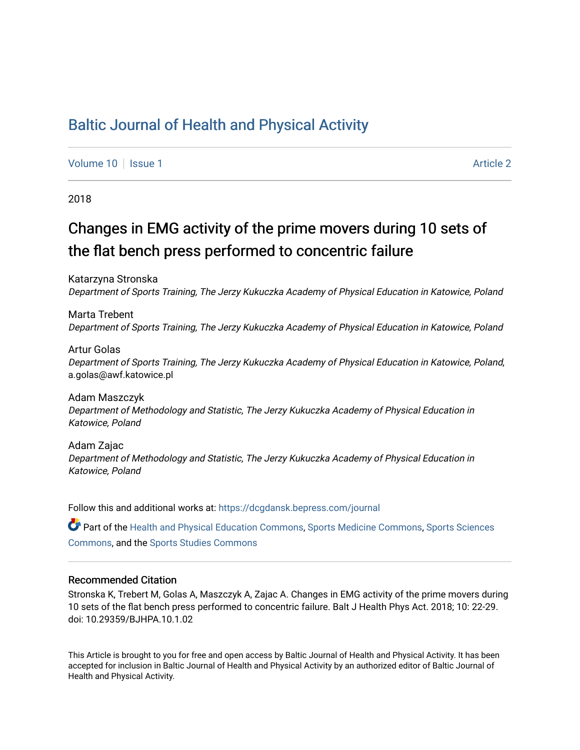## [Baltic Journal of Health and Physical Activity](https://dcgdansk.bepress.com/journal)

[Volume 10](https://dcgdansk.bepress.com/journal/vol10) | [Issue 1](https://dcgdansk.bepress.com/journal/vol10/iss1) Article 2

2018

## Changes in EMG activity of the prime movers during 10 sets of the flat bench press performed to concentric failure

Katarzyna Stronska Department of Sports Training, The Jerzy Kukuczka Academy of Physical Education in Katowice, Poland

Marta Trebent Department of Sports Training, The Jerzy Kukuczka Academy of Physical Education in Katowice, Poland

Artur Golas Department of Sports Training, The Jerzy Kukuczka Academy of Physical Education in Katowice, Poland, a.golas@awf.katowice.pl

Adam Maszczyk Department of Methodology and Statistic, The Jerzy Kukuczka Academy of Physical Education in Katowice, Poland

Adam Zajac Department of Methodology and Statistic, The Jerzy Kukuczka Academy of Physical Education in Katowice, Poland

Follow this and additional works at: [https://dcgdansk.bepress.com/journal](https://dcgdansk.bepress.com/journal?utm_source=dcgdansk.bepress.com%2Fjournal%2Fvol10%2Fiss1%2F2&utm_medium=PDF&utm_campaign=PDFCoverPages)

Part of the [Health and Physical Education Commons](http://network.bepress.com/hgg/discipline/1327?utm_source=dcgdansk.bepress.com%2Fjournal%2Fvol10%2Fiss1%2F2&utm_medium=PDF&utm_campaign=PDFCoverPages), [Sports Medicine Commons,](http://network.bepress.com/hgg/discipline/1331?utm_source=dcgdansk.bepress.com%2Fjournal%2Fvol10%2Fiss1%2F2&utm_medium=PDF&utm_campaign=PDFCoverPages) [Sports Sciences](http://network.bepress.com/hgg/discipline/759?utm_source=dcgdansk.bepress.com%2Fjournal%2Fvol10%2Fiss1%2F2&utm_medium=PDF&utm_campaign=PDFCoverPages) [Commons](http://network.bepress.com/hgg/discipline/759?utm_source=dcgdansk.bepress.com%2Fjournal%2Fvol10%2Fiss1%2F2&utm_medium=PDF&utm_campaign=PDFCoverPages), and the [Sports Studies Commons](http://network.bepress.com/hgg/discipline/1198?utm_source=dcgdansk.bepress.com%2Fjournal%2Fvol10%2Fiss1%2F2&utm_medium=PDF&utm_campaign=PDFCoverPages) 

#### Recommended Citation

Stronska K, Trebert M, Golas A, Maszczyk A, Zajac A. Changes in EMG activity of the prime movers during 10 sets of the flat bench press performed to concentric failure. Balt J Health Phys Act. 2018; 10: 22-29. doi: 10.29359/BJHPA.10.1.02

This Article is brought to you for free and open access by Baltic Journal of Health and Physical Activity. It has been accepted for inclusion in Baltic Journal of Health and Physical Activity by an authorized editor of Baltic Journal of Health and Physical Activity.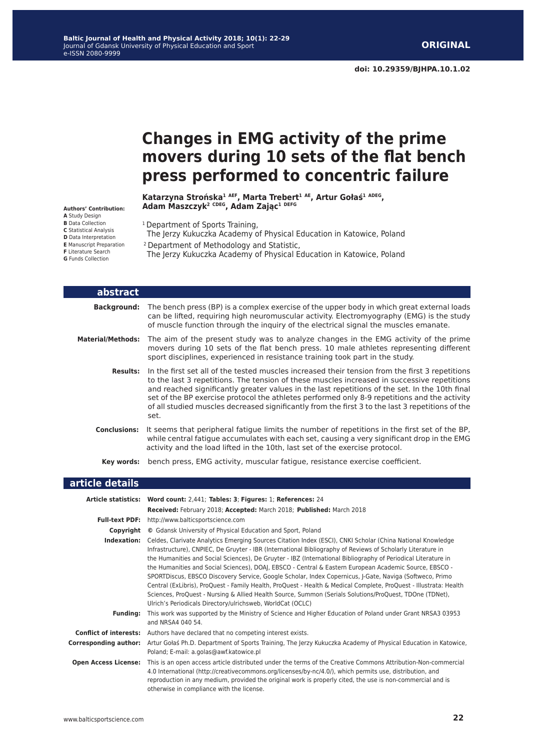**doi: 10.29359/BJHPA.10.1.02**

# **Changes in EMG activity of the prime movers during 10 sets of the flat bench press performed to concentric failure**

**Katarzyna Strońska<sup>1</sup> AEF, Marta Trebert<sup>1</sup> AE, Artur Gołaś<sup>1</sup> ADEG, Adam Maszczyk<sup>2</sup> CDEG, Adam Zając<sup>1</sup> DEFG**

**Authors' Contribution: A** Study Design **B** Data Collection **C** Statistical Analysis **D** Data Interpretation **E** Manuscript Preparation **F** Literature Search **G** Funds Collection

- <sup>1</sup> Department of Sports Training,
- The Jerzy Kukuczka Academy of Physical Education in Katowice, Poland
- 2 Department of Methodology and Statistic,

The Jerzy Kukuczka Academy of Physical Education in Katowice, Poland

| abstract                 |                                                                                                                                                                                                                                                                                                                                                                                                                                                                                                              |
|--------------------------|--------------------------------------------------------------------------------------------------------------------------------------------------------------------------------------------------------------------------------------------------------------------------------------------------------------------------------------------------------------------------------------------------------------------------------------------------------------------------------------------------------------|
| <b>Background:</b>       | The bench press (BP) is a complex exercise of the upper body in which great external loads<br>can be lifted, requiring high neuromuscular activity. Electromyography (EMG) is the study<br>of muscle function through the inquiry of the electrical signal the muscles emanate.                                                                                                                                                                                                                              |
| <b>Material/Methods:</b> | The aim of the present study was to analyze changes in the EMG activity of the prime<br>movers during 10 sets of the flat bench press. 10 male athletes representing different<br>sport disciplines, experienced in resistance training took part in the study.                                                                                                                                                                                                                                              |
| <b>Results:</b>          | In the first set all of the tested muscles increased their tension from the first 3 repetitions<br>to the last 3 repetitions. The tension of these muscles increased in successive repetitions<br>and reached significantly greater values in the last repetitions of the set. In the 10th final<br>set of the BP exercise protocol the athletes performed only 8-9 repetitions and the activity<br>of all studied muscles decreased significantly from the first 3 to the last 3 repetitions of the<br>set. |
| <b>Conclusions:</b>      | It seems that peripheral fatique limits the number of repetitions in the first set of the BP,<br>while central fatigue accumulates with each set, causing a very significant drop in the EMG<br>activity and the load lifted in the 10th, last set of the exercise protocol.                                                                                                                                                                                                                                 |
| Kev words:               | bench press, EMG activity, muscular fatigue, resistance exercise coefficient.                                                                                                                                                                                                                                                                                                                                                                                                                                |

| article details               |                                                                                                                                                                                                                                                                                                                                                                                                                                                                                                                                                                                                                                                                                                                                                                                                                                                               |
|-------------------------------|---------------------------------------------------------------------------------------------------------------------------------------------------------------------------------------------------------------------------------------------------------------------------------------------------------------------------------------------------------------------------------------------------------------------------------------------------------------------------------------------------------------------------------------------------------------------------------------------------------------------------------------------------------------------------------------------------------------------------------------------------------------------------------------------------------------------------------------------------------------|
|                               | Article statistics: Word count: 2,441; Tables: 3; Figures: 1; References: 24                                                                                                                                                                                                                                                                                                                                                                                                                                                                                                                                                                                                                                                                                                                                                                                  |
|                               | Received: February 2018; Accepted: March 2018; Published: March 2018                                                                                                                                                                                                                                                                                                                                                                                                                                                                                                                                                                                                                                                                                                                                                                                          |
| <b>Full-text PDF:</b>         | http://www.balticsportscience.com                                                                                                                                                                                                                                                                                                                                                                                                                                                                                                                                                                                                                                                                                                                                                                                                                             |
| Copyright                     | © Gdansk University of Physical Education and Sport, Poland                                                                                                                                                                                                                                                                                                                                                                                                                                                                                                                                                                                                                                                                                                                                                                                                   |
| Indexation:                   | Celdes, Clarivate Analytics Emerging Sources Citation Index (ESCI), CNKI Scholar (China National Knowledge<br>Infrastructure), CNPIEC, De Gruyter - IBR (International Bibliography of Reviews of Scholarly Literature in<br>the Humanities and Social Sciences), De Gruyter - IBZ (International Bibliography of Periodical Literature in<br>the Humanities and Social Sciences), DOAJ, EBSCO - Central & Eastern European Academic Source, EBSCO -<br>SPORTDiscus, EBSCO Discovery Service, Google Scholar, Index Copernicus, J-Gate, Naviga (Softweco, Primo<br>Central (ExLibris), ProQuest - Family Health, ProQuest - Health & Medical Complete, ProQuest - Illustrata: Health<br>Sciences, ProQuest - Nursing & Allied Health Source, Summon (Serials Solutions/ProQuest, TDOne (TDNet),<br>Ulrich's Periodicals Directory/ulrichsweb, WorldCat (OCLC) |
| <b>Funding:</b>               | This work was supported by the Ministry of Science and Higher Education of Poland under Grant NRSA3 03953<br>and NRSA4 040 54.                                                                                                                                                                                                                                                                                                                                                                                                                                                                                                                                                                                                                                                                                                                                |
| <b>Conflict of interests:</b> | Authors have declared that no competing interest exists.                                                                                                                                                                                                                                                                                                                                                                                                                                                                                                                                                                                                                                                                                                                                                                                                      |
| <b>Corresponding author:</b>  | Artur Gołaś Ph.D. Department of Sports Training, The Jerzy Kukuczka Academy of Physical Education in Katowice,<br>Poland; E-mail: a.golas@awf.katowice.pl                                                                                                                                                                                                                                                                                                                                                                                                                                                                                                                                                                                                                                                                                                     |
| <b>Open Access License:</b>   | This is an open access article distributed under the terms of the Creative Commons Attribution-Non-commercial<br>4.0 International (http://creativecommons.org/licenses/by-nc/4.0/), which permits use, distribution, and<br>reproduction in any medium, provided the original work is properly cited, the use is non-commercial and is<br>otherwise in compliance with the license.                                                                                                                                                                                                                                                                                                                                                                                                                                                                          |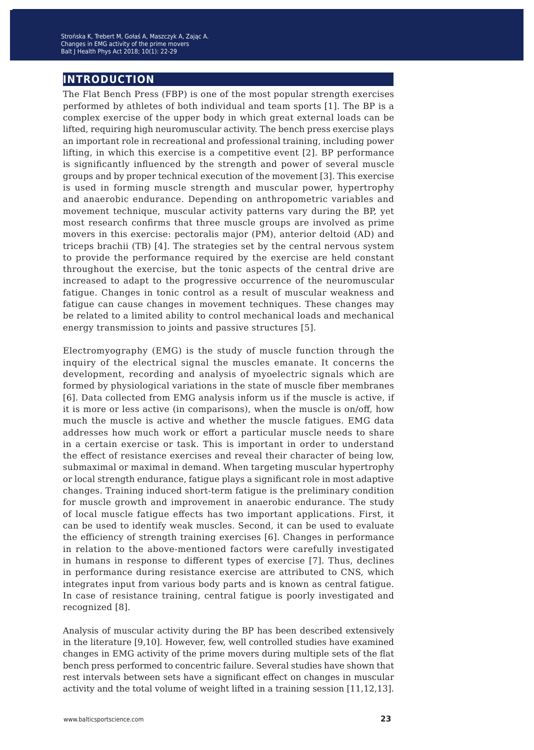## **introduction**

The Flat Bench Press (FBP) is one of the most popular strength exercises performed by athletes of both individual and team sports [1]. The BP is a complex exercise of the upper body in which great external loads can be lifted, requiring high neuromuscular activity. The bench press exercise plays an important role in recreational and professional training, including power lifting, in which this exercise is a competitive event [2]. BP performance is significantly influenced by the strength and power of several muscle groups and by proper technical execution of the movement [3]. This exercise is used in forming muscle strength and muscular power, hypertrophy and anaerobic endurance. Depending on anthropometric variables and movement technique, muscular activity patterns vary during the BP, yet most research confirms that three muscle groups are involved as prime movers in this exercise: pectoralis major (PM), anterior deltoid (AD) and triceps brachii (TB) [4]. The strategies set by the central nervous system to provide the performance required by the exercise are held constant throughout the exercise, but the tonic aspects of the central drive are increased to adapt to the progressive occurrence of the neuromuscular fatigue. Changes in tonic control as a result of muscular weakness and fatigue can cause changes in movement techniques. These changes may be related to a limited ability to control mechanical loads and mechanical energy transmission to joints and passive structures [5].

Electromyography (EMG) is the study of muscle function through the inquiry of the electrical signal the muscles emanate. It concerns the development, recording and analysis of myoelectric signals which are formed by physiological variations in the state of muscle fiber membranes [6]. Data collected from EMG analysis inform us if the muscle is active, if it is more or less active (in comparisons), when the muscle is on/off, how much the muscle is active and whether the muscle fatigues. EMG data addresses how much work or effort a particular muscle needs to share in a certain exercise or task. This is important in order to understand the effect of resistance exercises and reveal their character of being low, submaximal or maximal in demand. When targeting muscular hypertrophy or local strength endurance, fatigue plays a significant role in most adaptive changes. Training induced short-term fatigue is the preliminary condition for muscle growth and improvement in anaerobic endurance. The study of local muscle fatigue effects has two important applications. First, it can be used to identify weak muscles. Second, it can be used to evaluate the efficiency of strength training exercises [6]. Changes in performance in relation to the above-mentioned factors were carefully investigated in humans in response to different types of exercise [7]. Thus, declines in performance during resistance exercise are attributed to CNS, which integrates input from various body parts and is known as central fatigue. In case of resistance training, central fatigue is poorly investigated and recognized [8].

Analysis of muscular activity during the BP has been described extensively in the literature [9,10]. However, few, well controlled studies have examined changes in EMG activity of the prime movers during multiple sets of the flat bench press performed to concentric failure. Several studies have shown that rest intervals between sets have a significant effect on changes in muscular activity and the total volume of weight lifted in a training session [11,12,13].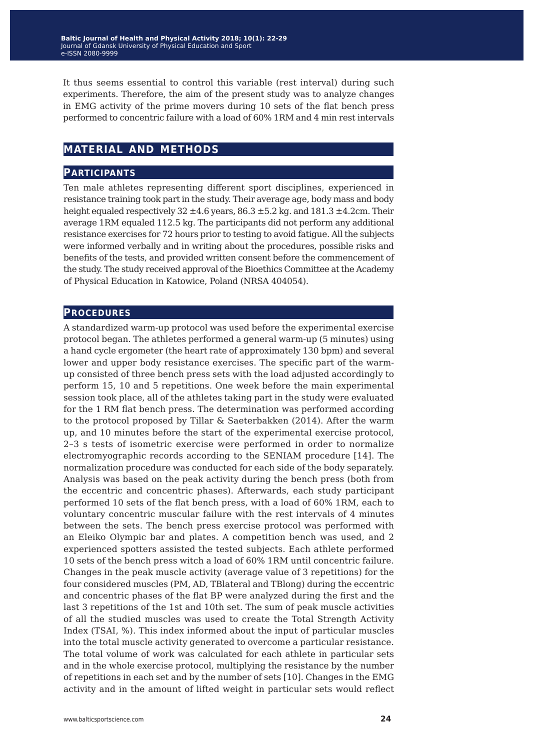It thus seems essential to control this variable (rest interval) during such experiments. Therefore, the aim of the present study was to analyze changes in EMG activity of the prime movers during 10 sets of the flat bench press performed to concentric failure with a load of 60% 1RM and 4 min rest intervals

## **material and methods**

### **participants**

Ten male athletes representing different sport disciplines, experienced in resistance training took part in the study. Their average age, body mass and body height equaled respectively 32  $\pm 4.6$  years, 86.3  $\pm 5.2$  kg. and 181.3  $\pm 4.2$ cm. Their average 1RM equaled 112.5 kg. The participants did not perform any additional resistance exercises for 72 hours prior to testing to avoid fatigue. All the subjects were informed verbally and in writing about the procedures, possible risks and benefits of the tests, and provided written consent before the commencement of the study. The study received approval of the Bioethics Committee at the Academy of Physical Education in Katowice, Poland (NRSA 404054).

#### **procedures**

A standardized warm-up protocol was used before the experimental exercise protocol began. The athletes performed a general warm-up (5 minutes) using a hand cycle ergometer (the heart rate of approximately 130 bpm) and several lower and upper body resistance exercises. The specific part of the warmup consisted of three bench press sets with the load adjusted accordingly to perform 15, 10 and 5 repetitions. One week before the main experimental session took place, all of the athletes taking part in the study were evaluated for the 1 RM flat bench press. The determination was performed according to the protocol proposed by Tillar & Saeterbakken (2014). After the warm up, and 10 minutes before the start of the experimental exercise protocol, 2–3 s tests of isometric exercise were performed in order to normalize electromyographic records according to the SENIAM procedure [14]. The normalization procedure was conducted for each side of the body separately. Analysis was based on the peak activity during the bench press (both from the eccentric and concentric phases). Afterwards, each study participant performed 10 sets of the flat bench press, with a load of 60% 1RM, each to voluntary concentric muscular failure with the rest intervals of 4 minutes between the sets. The bench press exercise protocol was performed with an Eleiko Olympic bar and plates. A competition bench was used, and 2 experienced spotters assisted the tested subjects. Each athlete performed 10 sets of the bench press witch a load of 60% 1RM until concentric failure. Changes in the peak muscle activity (average value of 3 repetitions) for the four considered muscles (PM, AD, TBlateral and TBlong) during the eccentric and concentric phases of the flat BP were analyzed during the first and the last 3 repetitions of the 1st and 10th set. The sum of peak muscle activities of all the studied muscles was used to create the Total Strength Activity Index (TSAI, %). This index informed about the input of particular muscles into the total muscle activity generated to overcome a particular resistance. The total volume of work was calculated for each athlete in particular sets and in the whole exercise protocol, multiplying the resistance by the number of repetitions in each set and by the number of sets [10]. Changes in the EMG activity and in the amount of lifted weight in particular sets would reflect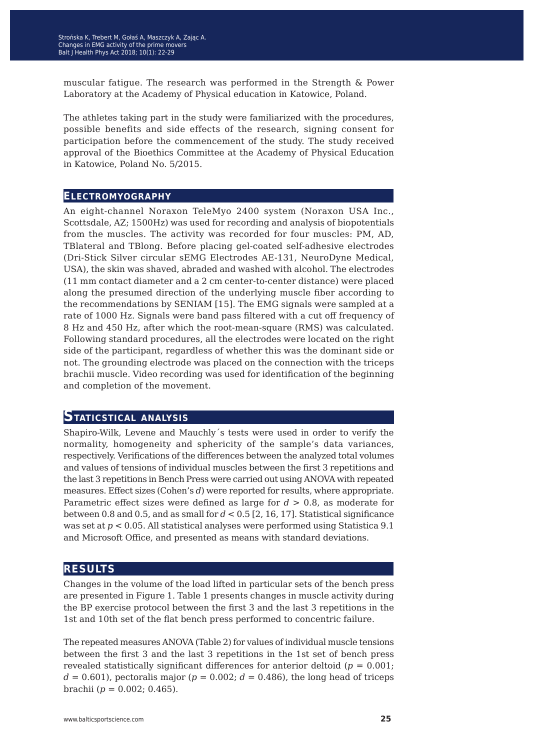muscular fatigue. The research was performed in the Strength & Power Laboratory at the Academy of Physical education in Katowice, Poland.

The athletes taking part in the study were familiarized with the procedures, possible benefits and side effects of the research, signing consent for participation before the commencement of the study. The study received approval of the Bioethics Committee at the Academy of Physical Education in Katowice, Poland No. 5/2015.

#### **electromyography**

An eight-channel Noraxon TeleMyo 2400 system (Noraxon USA Inc., Scottsdale, AZ; 1500Hz) was used for recording and analysis of biopotentials from the muscles. The activity was recorded for four muscles: PM, AD, TBlateral and TBlong. Before placing gel-coated self-adhesive electrodes (Dri-Stick Silver circular sEMG Electrodes AE-131, NeuroDyne Medical, USA), the skin was shaved, abraded and washed with alcohol. The electrodes (11 mm contact diameter and a 2 cm center-to-center distance) were placed along the presumed direction of the underlying muscle fiber according to the recommendations by SENIAM [15]. The EMG signals were sampled at a rate of 1000 Hz. Signals were band pass filtered with a cut off frequency of 8 Hz and 450 Hz, after which the root-mean-square (RMS) was calculated. Following standard procedures, all the electrodes were located on the right side of the participant, regardless of whether this was the dominant side or not. The grounding electrode was placed on the connection with the triceps brachii muscle. Video recording was used for identification of the beginning and completion of the movement.

#### **Staticstical analysis**

Shapiro-Wilk, Levene and Mauchly´s tests were used in order to verify the normality, homogeneity and sphericity of the sample's data variances, respectively. Verifications of the differences between the analyzed total volumes and values of tensions of individual muscles between the first 3 repetitions and the last 3 repetitions in Bench Press were carried out using ANOVA with repeated measures. Effect sizes (Cohen's *d*) were reported for results, where appropriate. Parametric effect sizes were defined as large for *d* > 0.8, as moderate for between 0.8 and 0.5, and as small for *d* < 0.5 [2, 16, 17]. Statistical significance was set at *p* < 0.05. All statistical analyses were performed using Statistica 9.1 and Microsoft Office, and presented as means with standard deviations.

#### **results**

Changes in the volume of the load lifted in particular sets of the bench press are presented in Figure 1. Table 1 presents changes in muscle activity during the BP exercise protocol between the first 3 and the last 3 repetitions in the 1st and 10th set of the flat bench press performed to concentric failure.

The repeated measures ANOVA (Table 2) for values of individual muscle tensions between the first 3 and the last 3 repetitions in the 1st set of bench press revealed statistically significant differences for anterior deltoid ( $p = 0.001$ ;  $d = 0.601$ , pectoralis major ( $p = 0.002$ ;  $d = 0.486$ ), the long head of triceps brachii (*p* = 0.002; 0.465).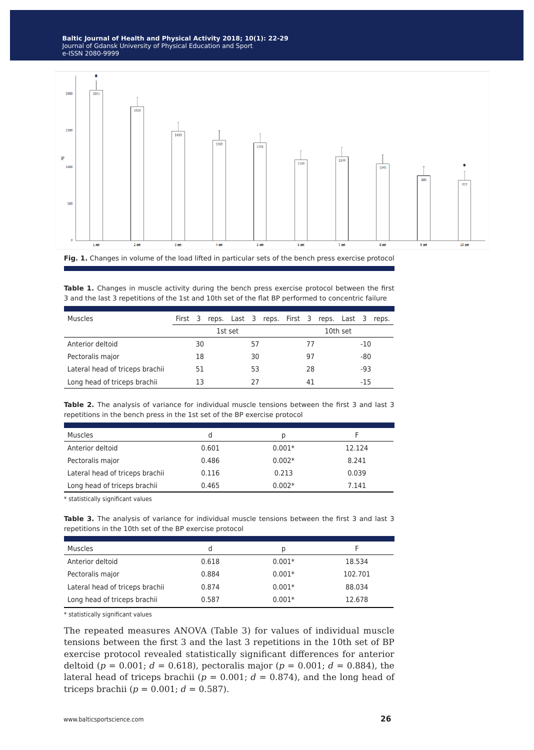

**Fig. 1.** Changes in volume of the load lifted in particular sets of the bench press exercise protocol

|  |  |  |  |  |  | <b>Table 1.</b> Changes in muscle activity during the bench press exercise protocol between the first |  |
|--|--|--|--|--|--|-------------------------------------------------------------------------------------------------------|--|
|  |  |  |  |  |  | 3 and the last 3 repetitions of the 1st and 10th set of the flat BP performed to concentric failure   |  |

| Muscles                         | First 3 |    |  |         |    | reps. Last 3 reps. First 3 reps. Last 3 |    |    |     |          |       | reps. |
|---------------------------------|---------|----|--|---------|----|-----------------------------------------|----|----|-----|----------|-------|-------|
|                                 |         |    |  | 1st set |    |                                         |    |    |     | 10th set |       |       |
| Anterior deltoid                |         | 30 |  |         | 57 |                                         |    | 77 |     |          | $-10$ |       |
| Pectoralis major                | 18      |    |  | 30      |    |                                         |    | 97 |     |          | $-80$ |       |
| Lateral head of triceps brachii | 51      |    |  | 53      |    |                                         | 28 |    | -93 |          |       |       |
| Long head of triceps brachii    |         | 13 |  |         | 27 |                                         |    | 41 |     |          | $-15$ |       |

Table 2. The analysis of variance for individual muscle tensions between the first 3 and last 3 repetitions in the bench press in the 1st set of the BP exercise protocol

| <b>Muscles</b>                  | d     | Ŋ        |        |
|---------------------------------|-------|----------|--------|
| Anterior deltoid                | 0.601 | $0.001*$ | 12.124 |
| Pectoralis major                | 0.486 | $0.002*$ | 8.241  |
| Lateral head of triceps brachii | 0.116 | 0.213    | 0.039  |
| Long head of triceps brachii    | 0.465 | $0.002*$ | 7.141  |

\* statistically significant values

**Table 3.** The analysis of variance for individual muscle tensions between the first 3 and last 3 repetitions in the 10th set of the BP exercise protocol

| <b>Muscles</b>                  | d     | p        |         |
|---------------------------------|-------|----------|---------|
| Anterior deltoid                | 0.618 | $0.001*$ | 18.534  |
| Pectoralis major                | 0.884 | $0.001*$ | 102.701 |
| Lateral head of triceps brachii | 0.874 | $0.001*$ | 88.034  |
| Long head of triceps brachii    | 0.587 | $0.001*$ | 12.678  |

\* statistically significant values

The repeated measures ANOVA (Table 3) for values of individual muscle tensions between the first 3 and the last 3 repetitions in the 10th set of BP exercise protocol revealed statistically significant differences for anterior deltoid ( $p = 0.001$ ;  $d = 0.618$ ), pectoralis major ( $p = 0.001$ ;  $d = 0.884$ ), the lateral head of triceps brachii ( $p = 0.001$ ;  $d = 0.874$ ), and the long head of triceps brachii ( $p = 0.001$ ;  $d = 0.587$ ).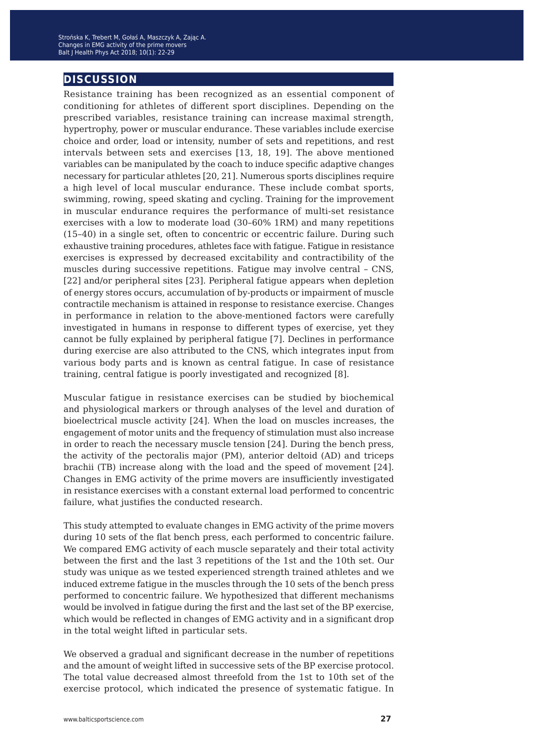## **discussion**

Resistance training has been recognized as an essential component of conditioning for athletes of different sport disciplines. Depending on the prescribed variables, resistance training can increase maximal strength, hypertrophy, power or muscular endurance. These variables include exercise choice and order, load or intensity, number of sets and repetitions, and rest intervals between sets and exercises [13, 18, 19]. The above mentioned variables can be manipulated by the coach to induce specific adaptive changes necessary for particular athletes [20, 21]. Numerous sports disciplines require a high level of local muscular endurance. These include combat sports, swimming, rowing, speed skating and cycling. Training for the improvement in muscular endurance requires the performance of multi-set resistance exercises with a low to moderate load (30–60% 1RM) and many repetitions (15–40) in a single set, often to concentric or eccentric failure. During such exhaustive training procedures, athletes face with fatigue. Fatigue in resistance exercises is expressed by decreased excitability and contractibility of the muscles during successive repetitions. Fatigue may involve central – CNS, [22] and/or peripheral sites [23]. Peripheral fatigue appears when depletion of energy stores occurs, accumulation of by-products or impairment of muscle contractile mechanism is attained in response to resistance exercise. Changes in performance in relation to the above-mentioned factors were carefully investigated in humans in response to different types of exercise, yet they cannot be fully explained by peripheral fatigue [7]. Declines in performance during exercise are also attributed to the CNS, which integrates input from various body parts and is known as central fatigue. In case of resistance training, central fatigue is poorly investigated and recognized [8].

Muscular fatigue in resistance exercises can be studied by biochemical and physiological markers or through analyses of the level and duration of bioelectrical muscle activity [24]. When the load on muscles increases, the engagement of motor units and the frequency of stimulation must also increase in order to reach the necessary muscle tension [24]. During the bench press, the activity of the pectoralis major (PM), anterior deltoid (AD) and triceps brachii (TB) increase along with the load and the speed of movement [24]. Changes in EMG activity of the prime movers are insufficiently investigated in resistance exercises with a constant external load performed to concentric failure, what justifies the conducted research.

This study attempted to evaluate changes in EMG activity of the prime movers during 10 sets of the flat bench press, each performed to concentric failure. We compared EMG activity of each muscle separately and their total activity between the first and the last 3 repetitions of the 1st and the 10th set. Our study was unique as we tested experienced strength trained athletes and we induced extreme fatigue in the muscles through the 10 sets of the bench press performed to concentric failure. We hypothesized that different mechanisms would be involved in fatigue during the first and the last set of the BP exercise, which would be reflected in changes of EMG activity and in a significant drop in the total weight lifted in particular sets.

We observed a gradual and significant decrease in the number of repetitions and the amount of weight lifted in successive sets of the BP exercise protocol. The total value decreased almost threefold from the 1st to 10th set of the exercise protocol, which indicated the presence of systematic fatigue. In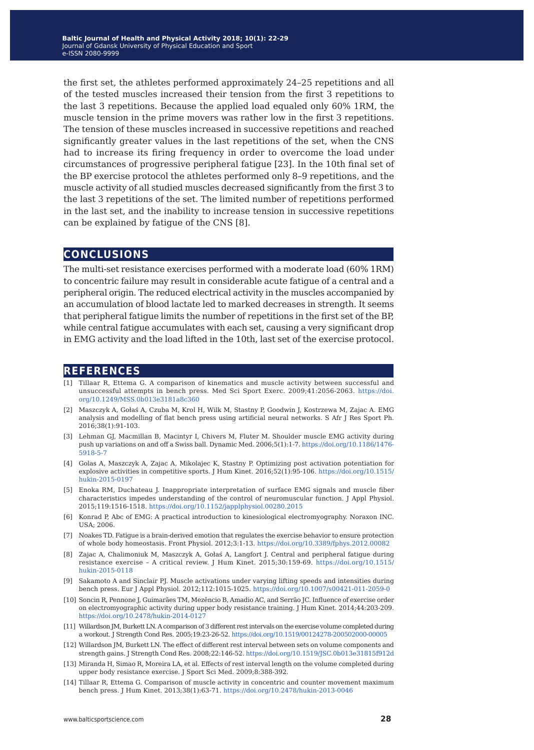the first set, the athletes performed approximately 24–25 repetitions and all of the tested muscles increased their tension from the first 3 repetitions to the last 3 repetitions. Because the applied load equaled only 60% 1RM, the muscle tension in the prime movers was rather low in the first 3 repetitions. The tension of these muscles increased in successive repetitions and reached significantly greater values in the last repetitions of the set, when the CNS had to increase its firing frequency in order to overcome the load under circumstances of progressive peripheral fatigue [23]. In the 10th final set of the BP exercise protocol the athletes performed only 8–9 repetitions, and the muscle activity of all studied muscles decreased significantly from the first 3 to the last 3 repetitions of the set. The limited number of repetitions performed in the last set, and the inability to increase tension in successive repetitions can be explained by fatigue of the CNS [8].

### **conclusions**

The multi-set resistance exercises performed with a moderate load (60% 1RM) to concentric failure may result in considerable acute fatigue of a central and a peripheral origin. The reduced electrical activity in the muscles accompanied by an accumulation of blood lactate led to marked decreases in strength. It seems that peripheral fatigue limits the number of repetitions in the first set of the BP, while central fatigue accumulates with each set, causing a very significant drop in EMG activity and the load lifted in the 10th, last set of the exercise protocol.

### **references**

- [1] Tillaar R, Ettema G. A comparison of kinematics and muscle activity between successful and unsuccessful attempts in bench press. Med Sci Sport Exerc. 2009;41:2056-2063. [https://doi.](https://doi.org/10.1249/MSS.0b013e3181a8c360) [org/10.1249/MSS.0b013e3181a8c360](https://doi.org/10.1249/MSS.0b013e3181a8c360)
- [2] Maszczyk A, Gołaś A, Czuba M, Krol H, Wilk M, Stastny P, Goodwin J, Kostrzewa M, Zajac A. EMG analysis and modelling of flat bench press using artificial neural networks. S Afr J Res Sport Ph. 2016;38(1):91-103.
- [3] Lehman GJ, Macmillan B, Macintyr I, Chivers M, Fluter M. Shoulder muscle EMG activity during push up variations on and off a Swiss ball. Dynamic Med. 2006;5(1):1-7. [https://doi.org/10.1186/1476-](https://doi.org/10.1186/1476-5918-5-7) [5918-5-7](https://doi.org/10.1186/1476-5918-5-7)
- [4] Golas A, Maszczyk A, Zajac A, Mikolajec K, Stastny P. Optimizing post activation potentiation for explosive activities in competitive sports. J Hum Kinet. 2016;52(1):95-106. [https://doi.org/10.1515/](https://doi.org/10.1515/hukin-2015-0197) [hukin-2015-0197](https://doi.org/10.1515/hukin-2015-0197)
- [5] Enoka RM, Duchateau J. Inappropriate interpretation of surface EMG signals and muscle fiber characteristics impedes understanding of the control of neuromuscular function. J Appl Physiol. 2015;119:1516-1518.<https://doi.org/10.1152/japplphysiol.00280.2015>
- [6] Konrad P, Abc of EMG: A practical introduction to kinesiological electromyography. Noraxon INC. USA; 2006.
- [7] Noakes TD. Fatigue is a brain-derived emotion that regulates the exercise behavior to ensure protection of whole body homeostasis. Front Physiol. 2012;3:1-13. <https://doi.org/10.3389/fphys.2012.00082>
- [8] Zajac A, Chalimoniuk M, Maszczyk A, Gołaś A, Langfort J. Central and peripheral fatigue during resistance exercise – A critical review. J Hum Kinet. 2015;30:159-69. [https://doi.org/10.1515/](https://doi.org/10.1515/hukin-2015-0118) [hukin-2015-0118](https://doi.org/10.1515/hukin-2015-0118)
- [9] Sakamoto A and Sinclair PJ. Muscle activations under varying lifting speeds and intensities during bench press. Eur J Appl Physiol. 2012;112:1015-1025.<https://doi.org/10.1007/s00421-011-2059-0>
- [10] Soncin R, Pennone J, Guimarães TM, Mezêncio B, Amadio AC, and Serrão JC. Influence of exercise order on electromyographic activity during upper body resistance training. J Hum Kinet. 2014;44:203-209. <https://doi.org/10.2478/hukin-2014-0127>
- [11] Willardson JM, Burkett LN. A comparison of 3 different rest intervals on the exercise volume completed during a workout. J Strength Cond Res. 2005;19:23-26-52.<https://doi.org/10.1519/00124278-200502000-00005>
- [12] Willardson JM, Burkett LN. The effect of different rest interval between sets on volume components and strength gains. J Strength Cond Res. 2008;22:146-52.<https://doi.org/10.1519/JSC.0b013e31815f912d>
- [13] Miranda H, Simao R, Moreira LA, et al. Effects of rest interval length on the volume completed during upper body resistance exercise. J Sport Sci Med. 2009;8:388-392.
- [14] Tillaar R, Ettema G. Comparison of muscle activity in concentric and counter movement maximum bench press. J Hum Kinet. 2013;38(1):63-71.<https://doi.org/10.2478/hukin-2013-0046>